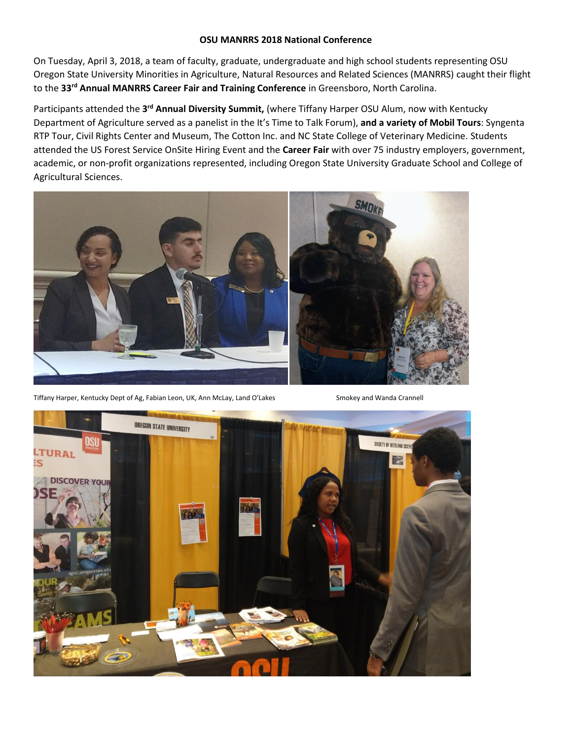## **OSU MANRRS 2018 National Conference**

On Tuesday, April 3, 2018, a team of faculty, graduate, undergraduate and high school students representing OSU Oregon State University Minorities in Agriculture, Natural Resources and Related Sciences (MANRRS) caught their flight to the **33rd Annual MANRRS Career Fair and Training Conference** in Greensboro, North Carolina.

Participants attended the 3<sup>rd</sup> Annual Diversity Summit, (where Tiffany Harper OSU Alum, now with Kentucky Department of Agriculture served as a panelist in the It's Time to Talk Forum), **and a variety of Mobil Tours**: Syngenta RTP Tour, Civil Rights Center and Museum, The Cotton Inc. and NC State College of Veterinary Medicine. Students attended the US Forest Service OnSite Hiring Event and the **Career Fair** with over 75 industry employers, government, academic, or non-profit organizations represented, including Oregon State University Graduate School and College of Agricultural Sciences.



Tiffany Harper, Kentucky Dept of Ag, Fabian Leon, UK, Ann McLay, Land O'Lakes Smokey and Wanda Crannell

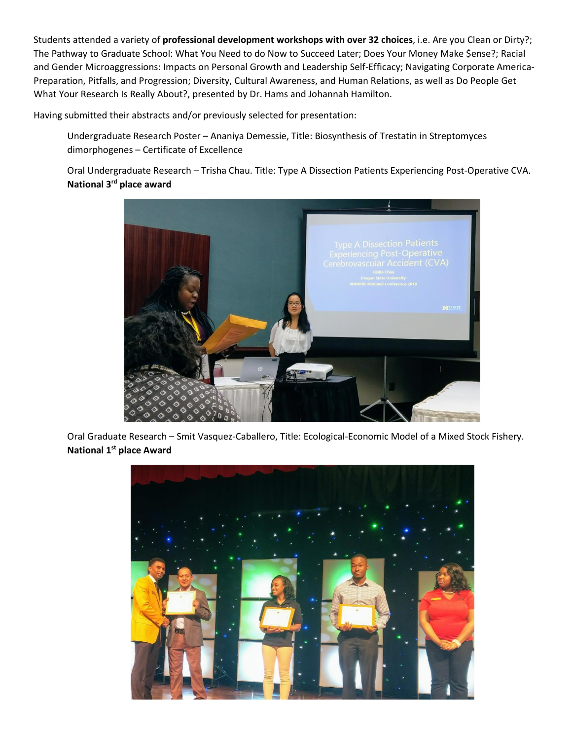Students attended a variety of **professional development workshops with over 32 choices**, i.e. Are you Clean or Dirty?; The Pathway to Graduate School: What You Need to do Now to Succeed Later; Does Your Money Make \$ense?; Racial and Gender Microaggressions: Impacts on Personal Growth and Leadership Self-Efficacy; Navigating Corporate America-Preparation, Pitfalls, and Progression; Diversity, Cultural Awareness, and Human Relations, as well as Do People Get What Your Research Is Really About?, presented by Dr. Hams and Johannah Hamilton.

Having submitted their abstracts and/or previously selected for presentation:

Undergraduate Research Poster – Ananiya Demessie, Title: Biosynthesis of Trestatin in Streptomyces dimorphogenes – Certificate of Excellence

Oral Undergraduate Research – Trisha Chau. Title: Type A Dissection Patients Experiencing Post-Operative CVA. **National 3rd place award**



Oral Graduate Research – Smit Vasquez-Caballero, Title: Ecological-Economic Model of a Mixed Stock Fishery. **National 1st place Award**

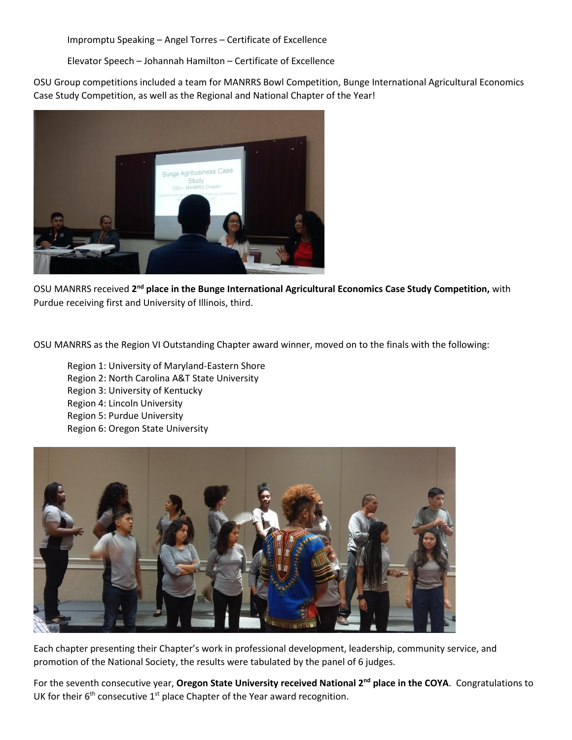Impromptu Speaking – Angel Torres – Certificate of Excellence

Elevator Speech – Johannah Hamilton – Certificate of Excellence

OSU Group competitions included a team for MANRRS Bowl Competition, Bunge International Agricultural Economics Case Study Competition, as well as the Regional and National Chapter of the Year!



OSU MANRRS received 2<sup>nd</sup> place in the Bunge International Agricultural Economics Case Study Competition, with Purdue receiving first and University of Illinois, third.

OSU MANRRS as the Region VI Outstanding Chapter award winner, moved on to the finals with the following:

Region 1: University of Maryland-Eastern Shore Region 2: North Carolina A&T State University Region 3: University of Kentucky Region 4: Lincoln University Region 5: Purdue University Region 6: Oregon State University



Each chapter presenting their Chapter's work in professional development, leadership, community service, and promotion of the National Society, the results were tabulated by the panel of 6 judges.

For the seventh consecutive year, **Oregon State University received National 2nd place in the COYA**. Congratulations to UK for their  $6<sup>th</sup>$  consecutive 1<sup>st</sup> place Chapter of the Year award recognition.